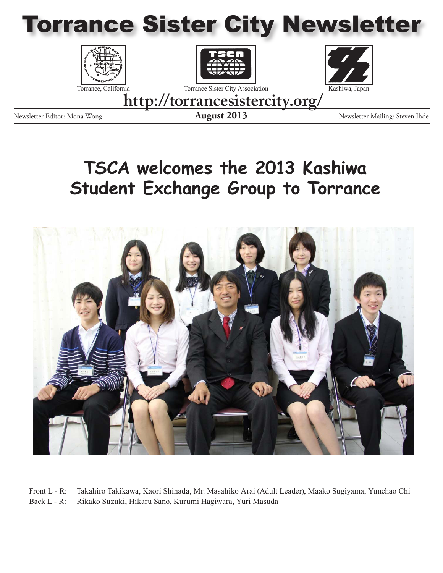







Newsletter Editor: Mona Wong **August 2013** Newsletter Mailing: Steven Ihde

**http://torrancesistercity.org/**

### **TSCA welcomes the 2013 Kashiwa Student Exchange Group to Torrance**



Front L - R: Takahiro Takikawa, Kaori Shinada, Mr. Masahiko Arai (Adult Leader), Maako Sugiyama, Yunchao Chi Back L - R: Rikako Suzuki, Hikaru Sano, Kurumi Hagiwara, Yuri Masuda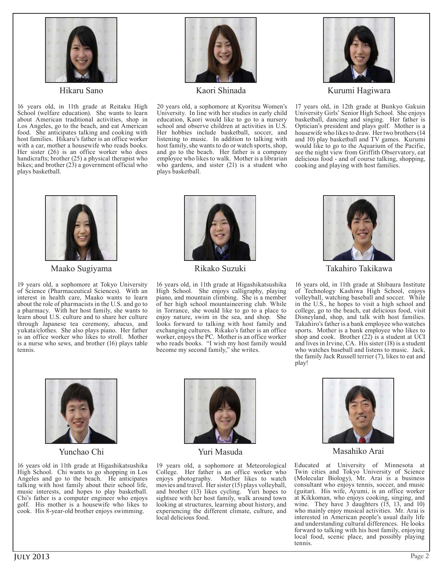

Hikaru Sano

16 years old, in 11th grade at Reitaku High School (welfare education). She wants to learn about American traditional activities, shop in Los Angeles, go to the beach, and eat American food. She anticipates talking and cooking with host families. Hikaru's father is an office worker with a car, mother a housewife who reads books. Her sister (26) is an office worker who does handicrafts; brother (25) a physical therapist who bikes; and brother (23) a government official who plays basketball.



Kaori Shinada

20 years old, a sophomore at Kyoritsu Women's University. In line with her studies in early child education, Kaori would like to go to a nursery school and observe children at activities in U.S. Her hobbies include basketball, soccer, and listening to music. In addition to talking with host family, she wants to do or watch sports, shop, and go to the beach. Her father is a company employee who likes to walk. Mother is a librarian who gardens, and sister (21) is a student who plays basketball.



Kurumi Hagiwara

17 years old, in 12th grade at Bunkyo Gakuin University Girls' Senior High School. She enjoys basketball, dancing and singing. Her father is Optician's president and plays golf. Mother is a housewife who likes to draw. Her two brothers (14 and 10) play basketball and TV games. Kurumi would like to go to the Aquarium of the Pacific, see the night view from Griffith Observatory, eat delicious food - and of course talking, shopping, cooking and playing with host families.



Maako Sugiyama

19 years old, a sophomore at Tokyo University of Science (Pharmaceutical Sciences). With an interest in health care, Maako wants to learn about the role of pharmacists in the U.S. and go to a pharmacy. With her host family, she wants to learn about U.S. culture and to share her culture through Japanese tea ceremony, abacus, and yukata/clothes. She also plays piano. Her father is an office worker who likes to stroll. Mother is a nurse who sews, and brother (16) plays table tennis.



Rikako Suzuki

16 years old, in 11th grade at Higashikatsushika High School. She enjoys calligraphy, playing piano, and mountain climbing. She is a member of her high school mountaineering club. While in Torrance, she would like to go to a place to enjoy nature, swim in the sea, and shop. She looks forward to talking with host family and exchanging cultures. Rikako's father is an office worker, enjoys the PC. Mother is an office worker who reads books. "I wish my host family would become my second family," she writes.



Takahiro Takikawa

16 years old, in 11th grade at Shibaura Institute of Technology Kashiwa High School, enjoys volleyball, watching baseball and soccer. While in the U.S., he hopes to visit a high school and college, go to the beach, eat delicious food, visit Disneyland, shop, and talk with host families. Takahiro's father is a bank employee who watches sports. Mother is a bank employee who likes to shop and cook. Brother (22) is a student at UCI and lives in Irvine, CA. His sister (18) is a student who watches baseball and listens to music. Jack, the family Jack Russell terrier (7), likes to eat and play!



Yunchao Chi

16 years old in 11th grade at Higashikatsushika High School. Chi wants to go shopping in Los Angeles and go to the beach. He anticipates talking with host family about their school life, music interests, and hopes to play basketball. Chi's father is a computer engineer who enjoys golf. His mother is a housewife who likes to cook. His 8-year-old brother enjoys swimming.



Yuri Masuda

19 years old, a sophomore at Meteorological College. Her father is an office worker who enjoys photography. Mother likes to watch movies and travel. Her sister (15) plays volleyball, and brother (13) likes cycling. Yuri hopes to sightsee with her host family, walk around town looking at structures, learning about history, and experiencing the different climate, culture, and local delicious food.



Masahiko Arai

Educated at University of Minnesota at Twin cities and Tokyo University of Science (Molecular Biology), Mr. Arai is a business consultant who enjoys tennis, soccer, and music (guitar). His wife, Ayumi, is an office worker at Kikkoman, who enjoys cooking, singing, and wine. They have 3 daughters (15, 13, and 10) who mainly enjoy musical activities. Mr. Arai is interested in American people's usual daily life and understanding cultural differences. He looks forward to talking with his host family, enjoying local food, scenic place, and possibly playing tennis.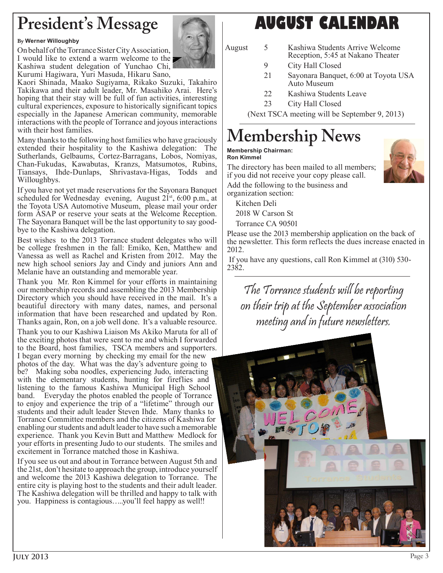### **President's Message**

#### **By Werner Willoughby**

On behalf of the Torrance Sister City Association, I would like to extend a warm welcome to the Kashiwa student delegation of Yunchao Chi,



Kurumi Hagiwara, Yuri Masuda, Hikaru Sano, Kaori Shinada, Maako Sugiyama, Rikako Suzuki, Takahiro Takikawa and their adult leader, Mr. Masahiko Arai. Here's hoping that their stay will be full of fun activities, interesting cultural experiences, exposure to historically significant topics especially in the Japanese American community, memorable

interactions with the people of Torrance and joyous interactions with their host families.

Many thanks to the following host families who have graciously extended their hospitality to the Kashiwa delegation: The Sutherlands, Gelbaums, Cortez-Barragans, Lobos, Nomiyas, Chan-Fukudas, Kawabutas, Kranzs, Matsumotos, Rubins, Tiansays, Ihde-Dunlaps, Shrivastava-Higas, Todds and Willoughbys.

If you have not yet made reservations for the Sayonara Banquet scheduled for Wednesday evening, August  $21<sup>st</sup>$ , 6:00 p.m., at the Toyota USA Automotive Museum, please mail your order form ASAP or reserve your seats at the Welcome Reception. The Sayonara Banquet will be the last opportunity to say goodbye to the Kashiwa delegation.

Best wishes to the 2013 Torrance student delegates who will be college freshmen in the fall: Emiko, Ken, Matthew and Vanessa as well as Rachel and Kristen from 2012. May the new high school seniors Jay and Cindy and juniors Ann and Melanie have an outstanding and memorable year.

Thank you Mr. Ron Kimmel for your efforts in maintaining our membership records and assembling the 2013 Membership Directory which you should have received in the mail. It's a beautiful directory with many dates, names, and personal information that have been researched and updated by Ron. Thanks again, Ron, on a job well done. It's a valuable resource. Thank you to our Kashiwa Liaison Ms Akiko Maruta for all of the exciting photos that were sent to me and which I forwarded to the Board, host families, TSCA members and supporters.

I began every morning by checking my email for the new photos of the day. What was the day's adventure going to be? Making soba noodles, experiencing Judo, interacting with the elementary students, hunting for fireflies and listening to the famous Kashiwa Municipal High School band. Everyday the photos enabled the people of Torrance to enjoy and experience the trip of a "lifetime" through our students and their adult leader Steven Ihde. Many thanks to Torrance Committee members and the citizens of Kashiwa for enabling our students and adult leader to have such a memorable experience. Thank you Kevin Butt and Matthew Medlock for your efforts in presenting Judo to our students. The smiles and excitement in Torrance matched those in Kashiwa.

If you see us out and about in Torrance between August 5th and the 21st, don't hesitate to approach the group, introduce yourself and welcome the 2013 Kashiwa delegation to Torrance. The entire city is playing host to the students and their adult leader. The Kashiwa delegation will be thrilled and happy to talk with you. Happiness is contagious…..you'll feel happy as well!!

#### **AUGUST CALENDAR**

- August 5 Kashiwa Students Arrive Welcome Reception, 5:45 at Nakano Theater
	- 9 City Hall Closed
	- 21 Sayonara Banquet, 6:00 at Toyota USA Auto Museum
	- 22 Kashiwa Students Leave
	- 23 City Hall Closed

(Next TSCA meeting will be September 9, 2013)

### **Membership News**

#### **Membership Chairman: Ron Kimmel**

The directory has been mailed to all members; if you did not receive your copy please call.

Add the following to the business and organization section:

Kitchen Deli 2018 W Carson St Torrance CA 90501

Please use the 2013 membership application on the back of the newsletter. This form reflects the dues increase enacted in 2012.

 If you have any questions, call Ron Kimmel at (310) 530- 2382.

The Torrance students will be reporting on their trip at the September association meeting and in future newsletters.

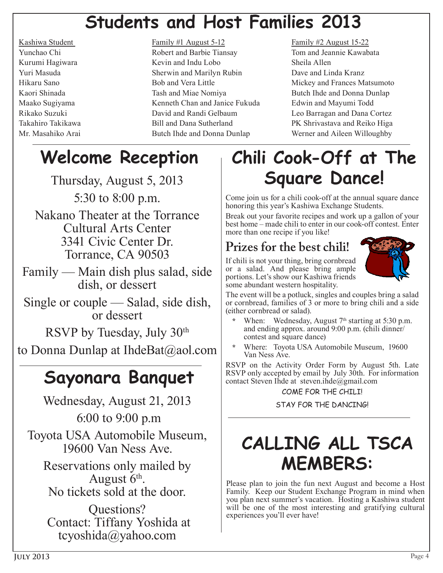## **Students and Host Families 2013**

#### Kashiwa Student Family #1 August 5-12 Family #2 August 15-22 Yunchao Chi Robert and Barbie Tiansay Tom and Jeannie Kawabata Kurumi Hagiwara **Kevin and Indu Lobo** Sheila Allen Yuri Masuda Sherwin and Marilyn Rubin Dave and Linda Kranz Hikaru Sano Bob and Vera Little Mickey and Frances Matsumoto Kaori Shinada Tash and Miae Nomiya Tash and Miae Nomiya Butch Ihde and Donna Dunlap Maako Sugiyama Kenneth Chan and Janice Fukuda Edwin and Mayumi Todd Rikako Suzuki David and Randi Gelbaum Leo Barragan and Dana Cortez Takahiro Takikawa Bill and Dana Sutherland PK Shrivastava and Reiko Higa Mr. Masahiko Arai **Butch Ihde and Donna Dunlap** Werner and Aileen Willoughby

# **Welcome Reception**

Thursday, August 5, 2013 5:30 to 8:00 p.m.

Nakano Theater at the Torrance Cultural Arts Center 3341 Civic Center Dr. Torrance, CA 90503

Family — Main dish plus salad, side dish, or dessert

Single or couple — Salad, side dish, or dessert

RSVP by Tuesday, July 30th

to Donna Dunlap at IhdeBat@aol.com

## **Sayonara Banquet**

Wednesday, August 21, 2013 6:00 to 9:00 p.m Toyota USA Automobile Museum, 19600 Van Ness Ave.

Reservations only mailed by<br>August  $6<sup>th</sup>$ . No tickets sold at the door.

Questions? Contact: Tiffany Yoshida at tcyoshida@yahoo.com

# **Chili Cook-Off at The Square Dance!**

Come join us for a chili cook-off at the annual square dance honoring this year's Kashiwa Exchange Students.

Break out your favorite recipes and work up a gallon of your best home – made chili to enter in our cook-off contest. Enter more than one recipe if you like!

#### **Prizes for the best chili!**

If chili is not your thing, bring cornbread or a salad. And please bring ample portions. Let's show our Kashiwa friends some abundant western hospitality.



The event will be a potluck, singles and couples bring a salad or cornbread, families of 3 or more to bring chili and a side (either cornbread or salad).

- When: Wednesday, August 7<sup>th</sup> starting at 5:30 p.m. and ending approx. around 9:00 p.m. (chili dinner/ contest and square dance)
- **\*** Where: Toyota USA Automobile Museum, 19600 Van Ness Ave.

RSVP on the Activity Order Form by August 5th. Late RSVP only accepted by email by July 30th. For information contact Steven Inde at steven.inde@gmail.com

#### COME FOR THE CHILI!

STAY FOR THE DANCING!

## **CALLING ALL TSCA MEMBERS:**

Please plan to join the fun next August and become a Host Family. Keep our Student Exchange Program in mind when you plan next summer's vacation. Hosting a Kashiwa student will be one of the most interesting and gratifying cultural experiences you'll ever have!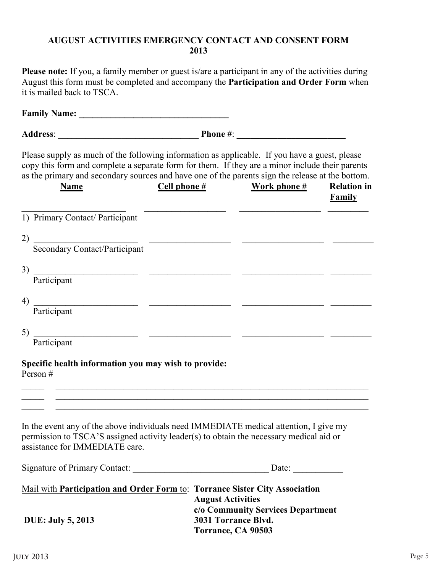#### **AUGUST ACTIVITIES EMERGENCY CONTACT AND CONSENT FORM 2013**

**Please note:** If you, a family member or guest is/are a participant in any of the activities during August this form must be completed and accompany the **Participation and Order Form** when it is mailed back to TSCA.

**Family Name: \_\_\_\_\_\_\_\_\_\_\_\_\_\_\_\_\_\_\_\_\_\_\_\_\_\_\_\_\_\_\_\_\_ Address**: \_\_\_\_\_\_\_\_\_\_\_\_\_\_\_\_\_\_\_\_\_\_\_\_\_\_\_\_\_\_\_ **Phone #**: **\_\_\_\_\_\_\_\_\_\_\_\_\_\_\_\_\_\_\_\_\_\_\_\_** Please supply as much of the following information as applicable. If you have a guest, please copy this form and complete a separate form for them. If they are a minor include their parents as the primary and secondary sources and have one of the parents sign the release at the bottom. Name Cell phone # Work phone # Relation in **Family Family** \_\_\_\_\_\_\_\_\_\_\_\_\_\_\_\_\_\_\_\_\_\_\_ \_\_\_\_\_\_\_\_\_\_\_\_\_\_\_\_\_\_ \_\_\_\_\_\_\_\_\_\_\_\_\_\_\_\_\_\_ \_\_\_\_\_\_\_\_\_ 1) Primary Contact/ Participant 2) \_\_\_\_\_\_\_\_\_\_\_\_\_\_\_\_\_\_\_\_\_\_\_ \_\_\_\_\_\_\_\_\_\_\_\_\_\_\_\_\_\_ \_\_\_\_\_\_\_\_\_\_\_\_\_\_\_\_\_\_ \_\_\_\_\_\_\_\_\_ Secondary Contact/Participant 3) \_\_\_\_\_\_\_\_\_\_\_\_\_\_\_\_\_\_\_\_\_\_\_ \_\_\_\_\_\_\_\_\_\_\_\_\_\_\_\_\_\_ \_\_\_\_\_\_\_\_\_\_\_\_\_\_\_\_\_\_ \_\_\_\_\_\_\_\_\_ Participant 4) \_\_\_\_\_\_\_\_\_\_\_\_\_\_\_\_\_\_\_\_\_\_\_ \_\_\_\_\_\_\_\_\_\_\_\_\_\_\_\_\_\_ \_\_\_\_\_\_\_\_\_\_\_\_\_\_\_\_\_\_ \_\_\_\_\_\_\_\_\_ Participant 5) \_\_\_\_\_\_\_\_\_\_\_\_\_\_\_\_\_\_\_\_\_\_\_ \_\_\_\_\_\_\_\_\_\_\_\_\_\_\_\_\_\_ \_\_\_\_\_\_\_\_\_\_\_\_\_\_\_\_\_\_ \_\_\_\_\_\_\_\_\_ Participant **Specific health information you may wish to provide:** Person #  $\_$  ,  $\_$  ,  $\_$  ,  $\_$  ,  $\_$  ,  $\_$  ,  $\_$  ,  $\_$  ,  $\_$  ,  $\_$  ,  $\_$  ,  $\_$  ,  $\_$  ,  $\_$  ,  $\_$  ,  $\_$  ,  $\_$  ,  $\_$  ,  $\_$  ,  $\_$  ,  $\_$  ,  $\_$  ,  $\_$  ,  $\_$  ,  $\_$  ,  $\_$  ,  $\_$  ,  $\_$  ,  $\_$  ,  $\_$  ,  $\_$  ,  $\_$  ,  $\_$  ,  $\_$  ,  $\_$  ,  $\_$  ,  $\_$  , \_\_\_\_\_ \_\_\_\_\_\_\_\_\_\_\_\_\_\_\_\_\_\_\_\_\_\_\_\_\_\_\_\_\_\_\_\_\_\_\_\_\_\_\_\_\_\_\_\_\_\_\_\_\_\_\_\_\_\_\_\_\_\_\_\_\_\_\_\_\_\_\_\_\_  $\_$  ,  $\_$  ,  $\_$  ,  $\_$  ,  $\_$  ,  $\_$  ,  $\_$  ,  $\_$  ,  $\_$  ,  $\_$  ,  $\_$  ,  $\_$  ,  $\_$  ,  $\_$  ,  $\_$  ,  $\_$  ,  $\_$  ,  $\_$  ,  $\_$  ,  $\_$  ,  $\_$  ,  $\_$  ,  $\_$  ,  $\_$  ,  $\_$  ,  $\_$  ,  $\_$  ,  $\_$  ,  $\_$  ,  $\_$  ,  $\_$  ,  $\_$  ,  $\_$  ,  $\_$  ,  $\_$  ,  $\_$  ,  $\_$  , In the event any of the above individuals need IMMEDIATE medical attention, I give my permission to TSCA'S assigned activity leader(s) to obtain the necessary medical aid or assistance for IMMEDIATE care. Signature of Primary Contact: \_\_\_\_\_\_\_\_\_\_\_\_\_\_\_\_\_\_\_\_\_\_\_\_\_\_\_\_\_\_ Date: \_\_\_\_\_\_\_\_\_\_\_ Mail with **Participation and Order Form** to: **Torrance Sister City Association August Activities c/o Community Services Department DUE: July 5, 2013 3031 Torrance Blvd. Torrance, CA 90503**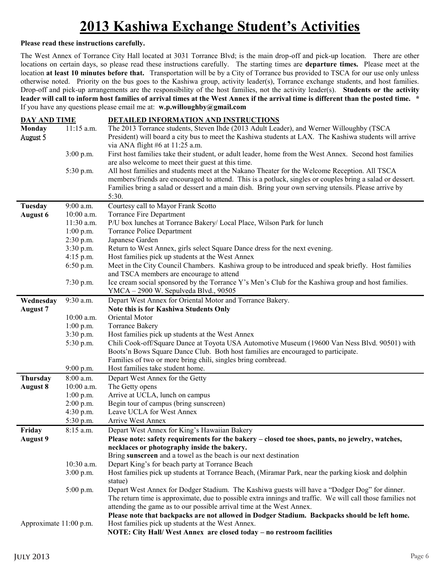#### **2013 Kashiwa Exchange Student's Activities**

#### **Please read these instructions carefully.**

The West Annex of Torrance City Hall located at 3031 Torrance Blvd; is the main drop-off and pick-up location. There are other locations on certain days, so please read these instructions carefully. The starting times are **departure times.** Please meet at the location **at least 10 minutes before that.** Transportation will be by a City of Torrance bus provided to TSCA for our use only unless otherwise noted. Priority on the bus goes to the Kashiwa group, activity leader(s), Torrance exchange students, and host families. Drop-off and pick-up arrangements are the responsibility of the host families, not the activity leader(s). **Students or the activity leader will call to inform host families of arrival times at the West Annex if the arrival time is different than the posted time. \*** If you have any questions please email me at: **w.p.willoughby@gmail.com**

| <b>DAY AND TIME</b>    |                        | DETAILED INFORMATION AND INSTRUCTIONS                                                                                                                                                                       |  |  |  |
|------------------------|------------------------|-------------------------------------------------------------------------------------------------------------------------------------------------------------------------------------------------------------|--|--|--|
| Monday                 | 11:15 a.m.             | The 2013 Torrance students, Steven Ihde (2013 Adult Leader), and Werner Willoughby (TSCA                                                                                                                    |  |  |  |
| August 5               |                        | President) will board a city bus to meet the Kashiwa students at LAX. The Kashiwa students will arrive                                                                                                      |  |  |  |
|                        |                        | via ANA flight $#6$ at 11:25 a.m.                                                                                                                                                                           |  |  |  |
|                        | $3:00$ p.m.            | First host families take their student, or adult leader, home from the West Annex. Second host families                                                                                                     |  |  |  |
|                        |                        | are also welcome to meet their guest at this time.                                                                                                                                                          |  |  |  |
|                        | 5:30 p.m.              | All host families and students meet at the Nakano Theater for the Welcome Reception. All TSCA                                                                                                               |  |  |  |
|                        |                        | members/friends are encouraged to attend. This is a potluck, singles or couples bring a salad or dessert.                                                                                                   |  |  |  |
|                        |                        | Families bring a salad or dessert and a main dish. Bring your own serving utensils. Please arrive by                                                                                                        |  |  |  |
|                        |                        | 5:30.                                                                                                                                                                                                       |  |  |  |
| Tuesday                | 9:00 a.m.              | Courtesy call to Mayor Frank Scotto                                                                                                                                                                         |  |  |  |
| <b>August 6</b>        | 10:00 a.m.             | Torrance Fire Department                                                                                                                                                                                    |  |  |  |
|                        | 11:30 a.m.             | P/U box lunches at Torrance Bakery/ Local Place, Wilson Park for lunch                                                                                                                                      |  |  |  |
|                        | $1:00$ p.m.            | Torrance Police Department                                                                                                                                                                                  |  |  |  |
|                        | 2:30 p.m.              | Japanese Garden                                                                                                                                                                                             |  |  |  |
|                        | 3:30 p.m.              | Return to West Annex, girls select Square Dance dress for the next evening.                                                                                                                                 |  |  |  |
|                        | $4:15$ p.m.            | Host families pick up students at the West Annex                                                                                                                                                            |  |  |  |
|                        | $6:50$ p.m.            | Meet in the City Council Chambers. Kashiwa group to be introduced and speak briefly. Host families                                                                                                          |  |  |  |
|                        |                        | and TSCA members are encourage to attend                                                                                                                                                                    |  |  |  |
|                        | 7:30 p.m.              | Ice cream social sponsored by the Torrance Y's Men's Club for the Kashiwa group and host families.                                                                                                          |  |  |  |
|                        |                        | YMCA - 2900 W. Sepulveda Blvd., 90505                                                                                                                                                                       |  |  |  |
| Wednesday              | $\overline{9:}30$ a.m. | Depart West Annex for Oriental Motor and Torrance Bakery.                                                                                                                                                   |  |  |  |
| <b>August 7</b>        |                        | Note this is for Kashiwa Students Only                                                                                                                                                                      |  |  |  |
|                        | 10:00 a.m.             | Oriental Motor                                                                                                                                                                                              |  |  |  |
|                        | $1:00$ p.m.            | <b>Torrance Bakery</b>                                                                                                                                                                                      |  |  |  |
|                        | 3:30 p.m.              | Host families pick up students at the West Annex                                                                                                                                                            |  |  |  |
|                        | 5:30 p.m.              | Chili Cook-off/Square Dance at Toyota USA Automotive Museum (19600 Van Ness Blvd. 90501) with                                                                                                               |  |  |  |
|                        |                        | Boots'n Bows Square Dance Club. Both host families are encouraged to participate.                                                                                                                           |  |  |  |
|                        |                        | Families of two or more bring chili, singles bring cornbread.                                                                                                                                               |  |  |  |
|                        | 9:00 p.m.              | Host families take student home.                                                                                                                                                                            |  |  |  |
| Thursday               | 8:00 a.m.              | Depart West Annex for the Getty                                                                                                                                                                             |  |  |  |
| <b>August 8</b>        | $10:00$ a.m.           | The Getty opens                                                                                                                                                                                             |  |  |  |
|                        | $1:00$ p.m.            | Arrive at UCLA, lunch on campus                                                                                                                                                                             |  |  |  |
|                        | $2:00$ p.m.            | Begin tour of campus (bring sunscreen)                                                                                                                                                                      |  |  |  |
|                        | 4:30 p.m.              | Leave UCLA for West Annex                                                                                                                                                                                   |  |  |  |
|                        | 5:30 p.m.              | Arrive West Annex                                                                                                                                                                                           |  |  |  |
| Friday                 | 8:15 a.m.              | Depart West Annex for King's Hawaiian Bakery                                                                                                                                                                |  |  |  |
| <b>August 9</b>        |                        | Please note: safety requirements for the bakery – closed toe shoes, pants, no jewelry, watches,                                                                                                             |  |  |  |
|                        |                        | necklaces or photography inside the bakery.                                                                                                                                                                 |  |  |  |
|                        |                        | Bring sunscreen and a towel as the beach is our next destination                                                                                                                                            |  |  |  |
|                        | 10:30 a.m.             | Depart King's for beach party at Torrance Beach                                                                                                                                                             |  |  |  |
|                        | $3:00$ p.m.            | Host families pick up students at Torrance Beach, (Miramar Park, near the parking kiosk and dolphin<br>statue)                                                                                              |  |  |  |
|                        | $5:00$ p.m.            | Depart West Annex for Dodger Stadium. The Kashiwa guests will have a "Dodger Dog" for dinner.<br>The return time is approximate, due to possible extra innings and traffic. We will call those families not |  |  |  |
|                        |                        | attending the game as to our possible arrival time at the West Annex.                                                                                                                                       |  |  |  |
|                        |                        | Please note that backpacks are not allowed in Dodger Stadium. Backpacks should be left home.                                                                                                                |  |  |  |
| Approximate 11:00 p.m. |                        | Host families pick up students at the West Annex.                                                                                                                                                           |  |  |  |
|                        |                        | NOTE: City Hall/West Annex are closed today - no restroom facilities                                                                                                                                        |  |  |  |
|                        |                        |                                                                                                                                                                                                             |  |  |  |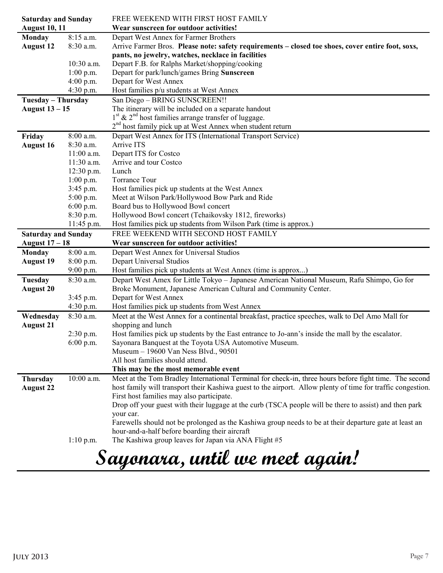| <b>Saturday and Sunday</b> |              | FREE WEEKEND WITH FIRST HOST FAMILY                                                                         |  |  |  |
|----------------------------|--------------|-------------------------------------------------------------------------------------------------------------|--|--|--|
| <b>August 10, 11</b>       |              | Wear sunscreen for outdoor activities!                                                                      |  |  |  |
| <b>Monday</b>              | 8:15 a.m.    | Depart West Annex for Farmer Brothers                                                                       |  |  |  |
| <b>August 12</b>           | 8:30 a.m.    | Arrive Farmer Bros. Please note: safety requirements - closed toe shoes, cover entire foot, soxs,           |  |  |  |
|                            |              | pants, no jewelry, watches, necklace in facilities                                                          |  |  |  |
|                            | 10:30 a.m.   | Depart F.B. for Ralphs Market/shopping/cooking                                                              |  |  |  |
|                            | $1:00$ p.m.  | Depart for park/lunch/games Bring Sunscreen                                                                 |  |  |  |
|                            | 4:00 p.m.    | Depart for West Annex                                                                                       |  |  |  |
|                            | 4:30 p.m.    | Host families p/u students at West Annex                                                                    |  |  |  |
| Tuesday - Thursday         |              | San Diego - BRING SUNSCREEN!!                                                                               |  |  |  |
| August 13 - 15             |              | The itinerary will be included on a separate handout                                                        |  |  |  |
|                            |              | $1st$ & 2 <sup>nd</sup> host families arrange transfer of luggage.                                          |  |  |  |
|                            |              | 2 <sup>nd</sup> host family pick up at West Annex when student return                                       |  |  |  |
| Friday                     | 8:00 a.m.    | Depart West Annex for ITS (International Transport Service)                                                 |  |  |  |
| <b>August 16</b>           | 8:30 a.m.    | Arrive ITS                                                                                                  |  |  |  |
|                            | $11:00$ a.m. | Depart ITS for Costco                                                                                       |  |  |  |
|                            | 11:30 a.m.   | Arrive and tour Costco                                                                                      |  |  |  |
|                            | $12:30$ p.m. | Lunch                                                                                                       |  |  |  |
|                            | $1:00$ p.m.  | <b>Torrance Tour</b>                                                                                        |  |  |  |
|                            | 3:45 p.m.    | Host families pick up students at the West Annex                                                            |  |  |  |
|                            | $5:00$ p.m.  | Meet at Wilson Park/Hollywood Bow Park and Ride                                                             |  |  |  |
|                            | $6:00$ p.m.  | Board bus to Hollywood Bowl concert                                                                         |  |  |  |
|                            | 8:30 p.m.    | Hollywood Bowl concert (Tchaikovsky 1812, fireworks)                                                        |  |  |  |
|                            | 11:45 p.m.   | Host families pick up students from Wilson Park (time is approx.)                                           |  |  |  |
| <b>Saturday and Sunday</b> |              | FREE WEEKEND WITH SECOND HOST FAMILY                                                                        |  |  |  |
| August $17-18$             |              | Wear sunscreen for outdoor activities!                                                                      |  |  |  |
| Monday                     | 8:00 a.m.    | Depart West Annex for Universal Studios                                                                     |  |  |  |
| <b>August 19</b>           | 8:00 p.m.    | Depart Universal Studios                                                                                    |  |  |  |
|                            | $9:00$ p.m.  | Host families pick up students at West Annex (time is approx)                                               |  |  |  |
| Tuesday                    | 8:30 a.m.    | Depart West Amex for Little Tokyo - Japanese American National Museum, Rafu Shimpo, Go for                  |  |  |  |
| <b>August 20</b>           |              | Broke Monument, Japanese American Cultural and Community Center.                                            |  |  |  |
|                            | $3:45$ p.m.  | Depart for West Annex                                                                                       |  |  |  |
|                            | 4:30 p.m.    | Host families pick up students from West Annex                                                              |  |  |  |
| Wednesday                  | 8:30 a.m.    | Meet at the West Annex for a continental breakfast, practice speeches, walk to Del Amo Mall for             |  |  |  |
| <b>August 21</b>           |              | shopping and lunch                                                                                          |  |  |  |
|                            | 2:30 p.m.    | Host families pick up students by the East entrance to Jo-ann's inside the mall by the escalator.           |  |  |  |
|                            | $6:00$ p.m.  | Sayonara Banquest at the Toyota USA Automotive Museum.                                                      |  |  |  |
|                            |              | Museum – 19600 Van Ness Blvd., 90501                                                                        |  |  |  |
|                            |              | All host families should attend.                                                                            |  |  |  |
|                            |              | This may be the most memorable event                                                                        |  |  |  |
| Thursday                   | 10:00 a.m.   | Meet at the Tom Bradley International Terminal for check-in, three hours before fight time. The second      |  |  |  |
| <b>August 22</b>           |              | host family will transport their Kashiwa guest to the airport. Allow plenty of time for traffic congestion. |  |  |  |
|                            |              | First host families may also participate.                                                                   |  |  |  |
|                            |              | Drop off your guest with their luggage at the curb (TSCA people will be there to assist) and then park      |  |  |  |
|                            |              | your car.                                                                                                   |  |  |  |
|                            |              | Farewells should not be prolonged as the Kashiwa group needs to be at their departure gate at least an      |  |  |  |
|                            |              | hour-and-a-half before boarding their aircraft                                                              |  |  |  |
|                            | $1:10$ p.m.  | The Kashiwa group leaves for Japan via ANA Flight #5                                                        |  |  |  |
|                            |              |                                                                                                             |  |  |  |
|                            |              | Sayonara, until we meet again!                                                                              |  |  |  |
|                            |              |                                                                                                             |  |  |  |